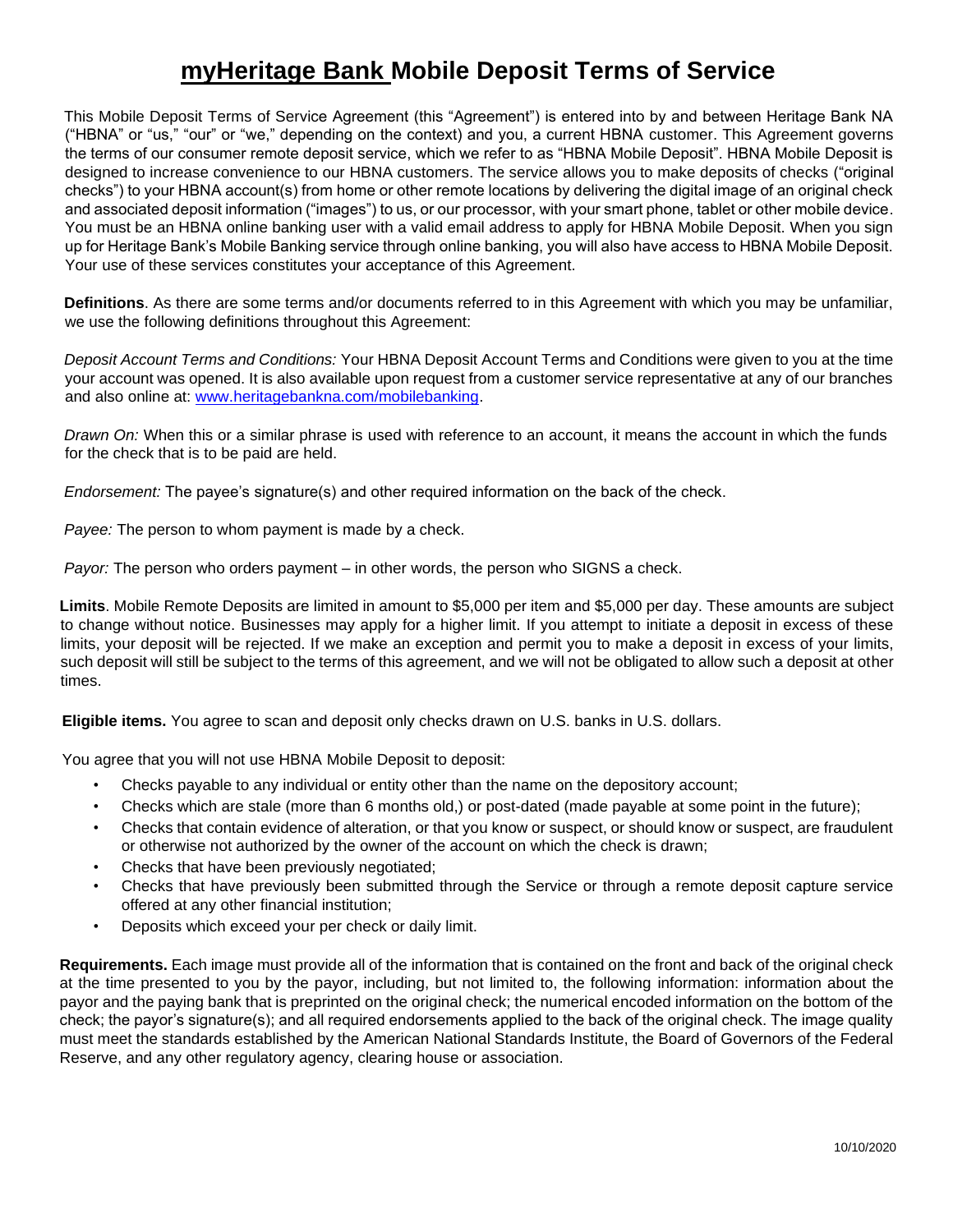## **myHeritage Bank Mobile Deposit Terms of Service**

This Mobile Deposit Terms of Service Agreement (this "Agreement") is entered into by and between Heritage Bank NA ("HBNA" or "us," "our" or "we," depending on the context) and you, a current HBNA customer. This Agreement governs the terms of our consumer remote deposit service, which we refer to as "HBNA Mobile Deposit". HBNA Mobile Deposit is designed to increase convenience to our HBNA customers. The service allows you to make deposits of checks ("original checks") to your HBNA account(s) from home or other remote locations by delivering the digital image of an original check and associated deposit information ("images") to us, or our processor, with your smart phone, tablet or other mobile device. You must be an HBNA online banking user with a valid email address to apply for HBNA Mobile Deposit. When you sign up for Heritage Bank's Mobile Banking service through online banking, you will also have access to HBNA Mobile Deposit. Your use of these services constitutes your acceptance of this Agreement.

**Definitions**. As there are some terms and/or documents referred to in this Agreement with which you may be unfamiliar, we use the following definitions throughout this Agreement:

*Deposit Account Terms and Conditions:* Your HBNA Deposit Account Terms and Conditions were given to you at the time your account was opened. It is also available upon request from a customer service representative at any of our branches and also online at: [www.heritagebankna.com/mobilebanking.](http://www.heritagebankna.com/mobilebanking)

*Drawn On:* When this or a similar phrase is used with reference to an account, it means the account in which the funds for the check that is to be paid are held.

*Endorsement:* The payee's signature(s) and other required information on the back of the check.

*Payee:* The person to whom payment is made by a check.

*Payor:* The person who orders payment – in other words, the person who SIGNS a check.

**Limits**. Mobile Remote Deposits are limited in amount to \$5,000 per item and \$5,000 per day. These amounts are subject to change without notice. Businesses may apply for a higher limit. If you attempt to initiate a deposit in excess of these limits, your deposit will be rejected. If we make an exception and permit you to make a deposit in excess of your limits, such deposit will still be subject to the terms of this agreement, and we will not be obligated to allow such a deposit at other times.

**Eligible items.** You agree to scan and deposit only checks drawn on U.S. banks in U.S. dollars.

You agree that you will not use HBNA Mobile Deposit to deposit:

- Checks payable to any individual or entity other than the name on the depository account;
- Checks which are stale (more than 6 months old,) or post-dated (made payable at some point in the future);
- Checks that contain evidence of alteration, or that you know or suspect, or should know or suspect, are fraudulent or otherwise not authorized by the owner of the account on which the check is drawn;
- Checks that have been previously negotiated;
- Checks that have previously been submitted through the Service or through a remote deposit capture service offered at any other financial institution;
- Deposits which exceed your per check or daily limit.

**Requirements.** Each image must provide all of the information that is contained on the front and back of the original check at the time presented to you by the payor, including, but not limited to, the following information: information about the payor and the paying bank that is preprinted on the original check; the numerical encoded information on the bottom of the check; the payor's signature(s); and all required endorsements applied to the back of the original check. The image quality must meet the standards established by the American National Standards Institute, the Board of Governors of the Federal Reserve, and any other regulatory agency, clearing house or association.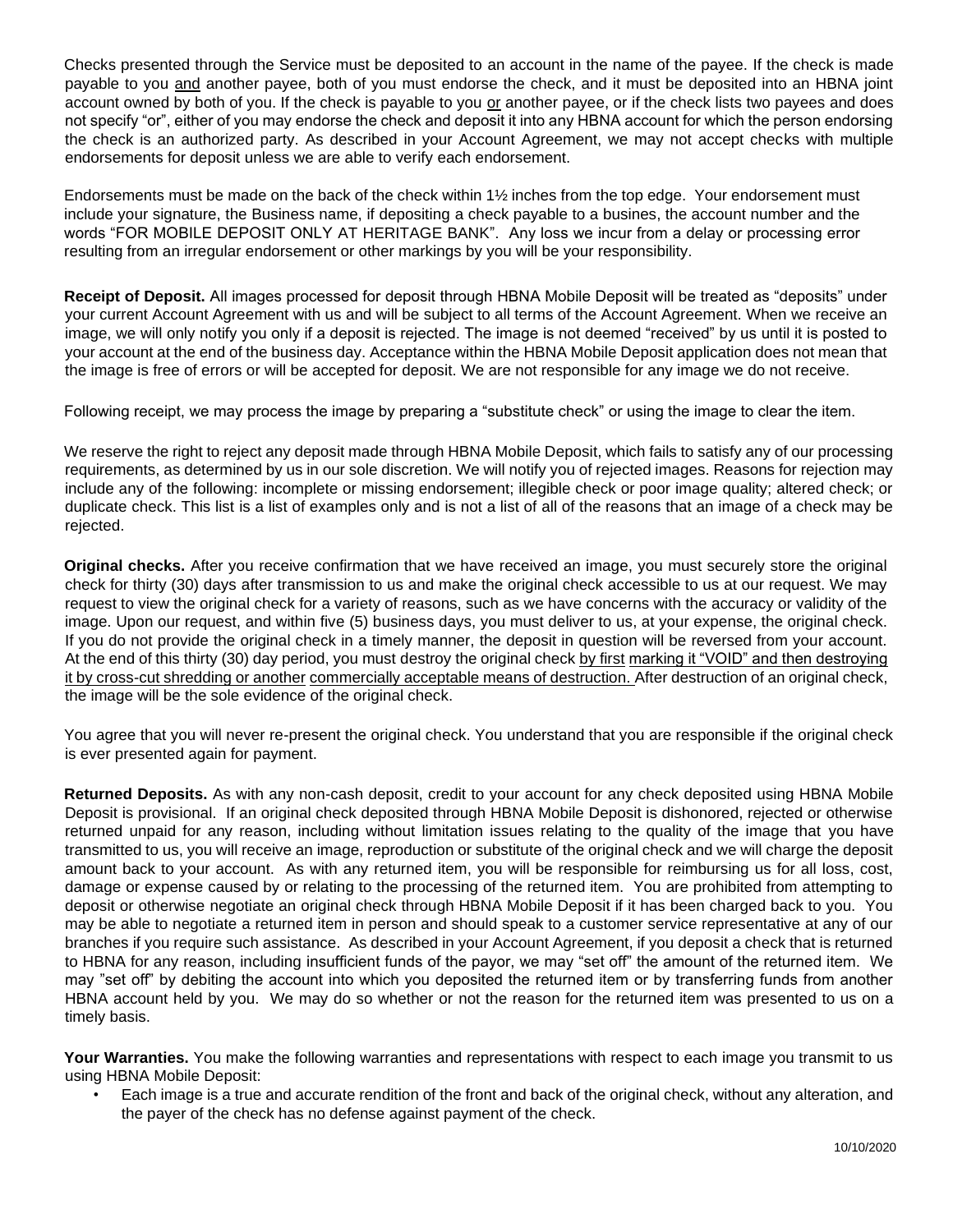Checks presented through the Service must be deposited to an account in the name of the payee. If the check is made payable to you and another payee, both of you must endorse the check, and it must be deposited into an HBNA joint account owned by both of you. If the check is payable to you or another payee, or if the check lists two payees and does not specify "or", either of you may endorse the check and deposit it into any HBNA account for which the person endorsing the check is an authorized party. As described in your Account Agreement, we may not accept checks with multiple endorsements for deposit unless we are able to verify each endorsement.

Endorsements must be made on the back of the check within 1½ inches from the top edge. Your endorsement must include your signature, the Business name, if depositing a check payable to a busines, the account number and the words "FOR MOBILE DEPOSIT ONLY AT HERITAGE BANK". Any loss we incur from a delay or processing error resulting from an irregular endorsement or other markings by you will be your responsibility.

**Receipt of Deposit.** All images processed for deposit through HBNA Mobile Deposit will be treated as "deposits" under your current Account Agreement with us and will be subject to all terms of the Account Agreement. When we receive an image, we will only notify you only if a deposit is rejected. The image is not deemed "received" by us until it is posted to your account at the end of the business day. Acceptance within the HBNA Mobile Deposit application does not mean that the image is free of errors or will be accepted for deposit. We are not responsible for any image we do not receive.

Following receipt, we may process the image by preparing a "substitute check" or using the image to clear the item.

We reserve the right to reject any deposit made through HBNA Mobile Deposit, which fails to satisfy any of our processing requirements, as determined by us in our sole discretion. We will notify you of rejected images. Reasons for rejection may include any of the following: incomplete or missing endorsement; illegible check or poor image quality; altered check; or duplicate check. This list is a list of examples only and is not a list of all of the reasons that an image of a check may be rejected.

**Original checks.** After you receive confirmation that we have received an image, you must securely store the original check for thirty (30) days after transmission to us and make the original check accessible to us at our request. We may request to view the original check for a variety of reasons, such as we have concerns with the accuracy or validity of the image. Upon our request, and within five (5) business days, you must deliver to us, at your expense, the original check. If you do not provide the original check in a timely manner, the deposit in question will be reversed from your account. At the end of this thirty (30) day period, you must destroy the original check by first marking it "VOID" and then destroying it by cross-cut shredding or another commercially acceptable means of destruction. After destruction of an original check, the image will be the sole evidence of the original check.

You agree that you will never re-present the original check. You understand that you are responsible if the original check is ever presented again for payment.

**Returned Deposits.** As with any non-cash deposit, credit to your account for any check deposited using HBNA Mobile Deposit is provisional. If an original check deposited through HBNA Mobile Deposit is dishonored, rejected or otherwise returned unpaid for any reason, including without limitation issues relating to the quality of the image that you have transmitted to us, you will receive an image, reproduction or substitute of the original check and we will charge the deposit amount back to your account. As with any returned item, you will be responsible for reimbursing us for all loss, cost, damage or expense caused by or relating to the processing of the returned item. You are prohibited from attempting to deposit or otherwise negotiate an original check through HBNA Mobile Deposit if it has been charged back to you. You may be able to negotiate a returned item in person and should speak to a customer service representative at any of our branches if you require such assistance. As described in your Account Agreement, if you deposit a check that is returned to HBNA for any reason, including insufficient funds of the payor, we may "set off" the amount of the returned item. We may "set off" by debiting the account into which you deposited the returned item or by transferring funds from another HBNA account held by you. We may do so whether or not the reason for the returned item was presented to us on a timely basis.

Your Warranties. You make the following warranties and representations with respect to each image you transmit to us using HBNA Mobile Deposit:

• Each image is a true and accurate rendition of the front and back of the original check, without any alteration, and the payer of the check has no defense against payment of the check.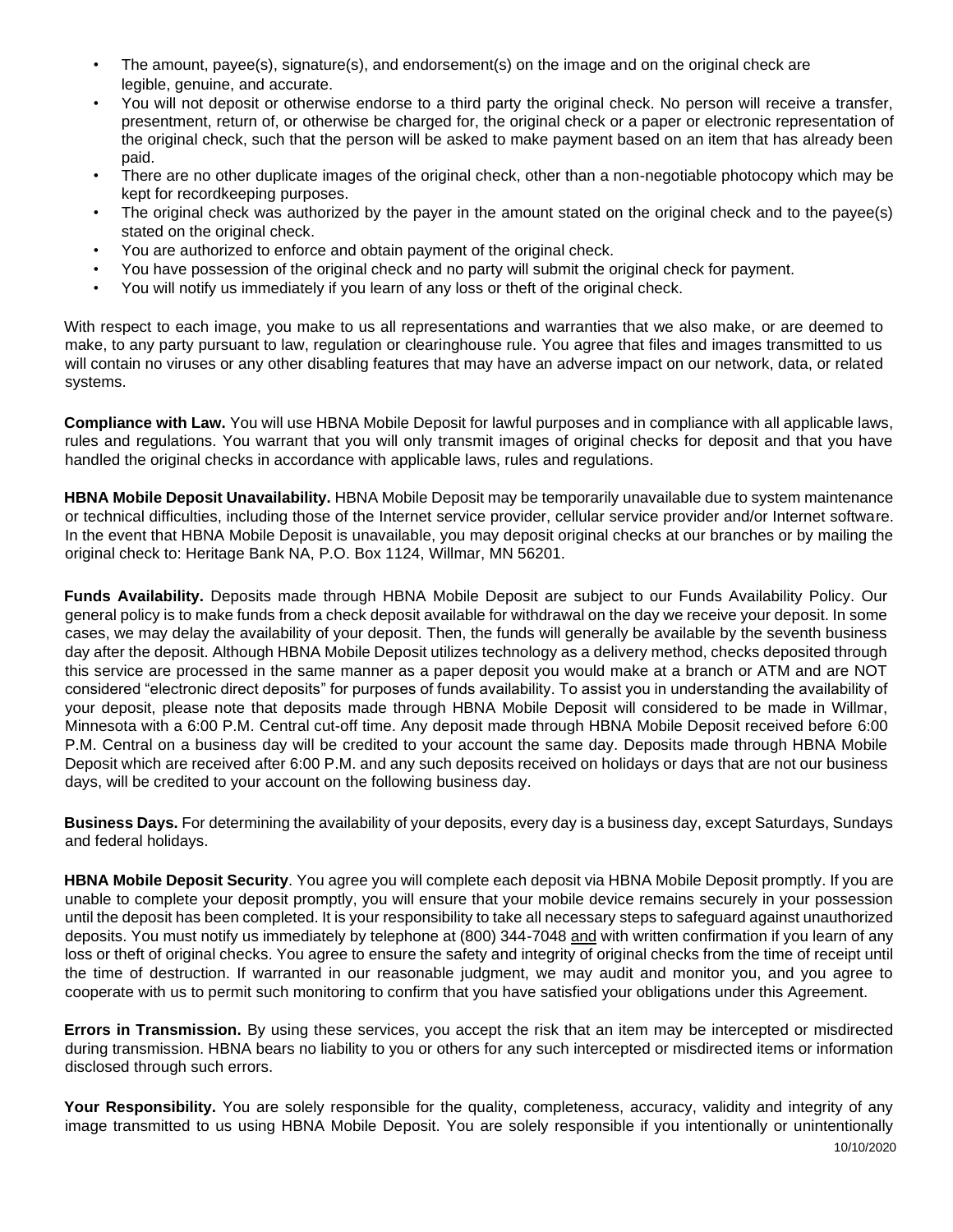- The amount, payee(s), signature(s), and endorsement(s) on the image and on the original check are legible, genuine, and accurate.
- You will not deposit or otherwise endorse to a third party the original check. No person will receive a transfer, presentment, return of, or otherwise be charged for, the original check or a paper or electronic representation of the original check, such that the person will be asked to make payment based on an item that has already been paid.
- There are no other duplicate images of the original check, other than a non-negotiable photocopy which may be kept for recordkeeping purposes.
- The original check was authorized by the payer in the amount stated on the original check and to the payee(s) stated on the original check.
- You are authorized to enforce and obtain payment of the original check.
- You have possession of the original check and no party will submit the original check for payment.
- You will notify us immediately if you learn of any loss or theft of the original check.

With respect to each image, you make to us all representations and warranties that we also make, or are deemed to make, to any party pursuant to law, regulation or clearinghouse rule. You agree that files and images transmitted to us will contain no viruses or any other disabling features that may have an adverse impact on our network, data, or related systems.

**Compliance with Law.** You will use HBNA Mobile Deposit for lawful purposes and in compliance with all applicable laws, rules and regulations. You warrant that you will only transmit images of original checks for deposit and that you have handled the original checks in accordance with applicable laws, rules and regulations.

**HBNA Mobile Deposit Unavailability.** HBNA Mobile Deposit may be temporarily unavailable due to system maintenance or technical difficulties, including those of the Internet service provider, cellular service provider and/or Internet software. In the event that HBNA Mobile Deposit is unavailable, you may deposit original checks at our branches or by mailing the original check to: Heritage Bank NA, P.O. Box 1124, Willmar, MN 56201.

**Funds Availability.** Deposits made through HBNA Mobile Deposit are subject to our Funds Availability Policy. Our general policy is to make funds from a check deposit available for withdrawal on the day we receive your deposit. In some cases, we may delay the availability of your deposit. Then, the funds will generally be available by the seventh business day after the deposit. Although HBNA Mobile Deposit utilizes technology as a delivery method, checks deposited through this service are processed in the same manner as a paper deposit you would make at a branch or ATM and are NOT considered "electronic direct deposits" for purposes of funds availability. To assist you in understanding the availability of your deposit, please note that deposits made through HBNA Mobile Deposit will considered to be made in Willmar, Minnesota with a 6:00 P.M. Central cut-off time. Any deposit made through HBNA Mobile Deposit received before 6:00 P.M. Central on a business day will be credited to your account the same day. Deposits made through HBNA Mobile Deposit which are received after 6:00 P.M. and any such deposits received on holidays or days that are not our business days, will be credited to your account on the following business day.

**Business Days.** For determining the availability of your deposits, every day is a business day, except Saturdays, Sundays and federal holidays.

**HBNA Mobile Deposit Security**. You agree you will complete each deposit via HBNA Mobile Deposit promptly. If you are unable to complete your deposit promptly, you will ensure that your mobile device remains securely in your possession until the deposit has been completed. It is your responsibility to take all necessary steps to safeguard against unauthorized deposits. You must notify us immediately by telephone at (800) 344-7048 and with written confirmation if you learn of any loss or theft of original checks. You agree to ensure the safety and integrity of original checks from the time of receipt until the time of destruction. If warranted in our reasonable judgment, we may audit and monitor you, and you agree to cooperate with us to permit such monitoring to confirm that you have satisfied your obligations under this Agreement.

**Errors in Transmission.** By using these services, you accept the risk that an item may be intercepted or misdirected during transmission. HBNA bears no liability to you or others for any such intercepted or misdirected items or information disclosed through such errors.

10/10/2020 Your Responsibility. You are solely responsible for the quality, completeness, accuracy, validity and integrity of any image transmitted to us using HBNA Mobile Deposit. You are solely responsible if you intentionally or unintentionally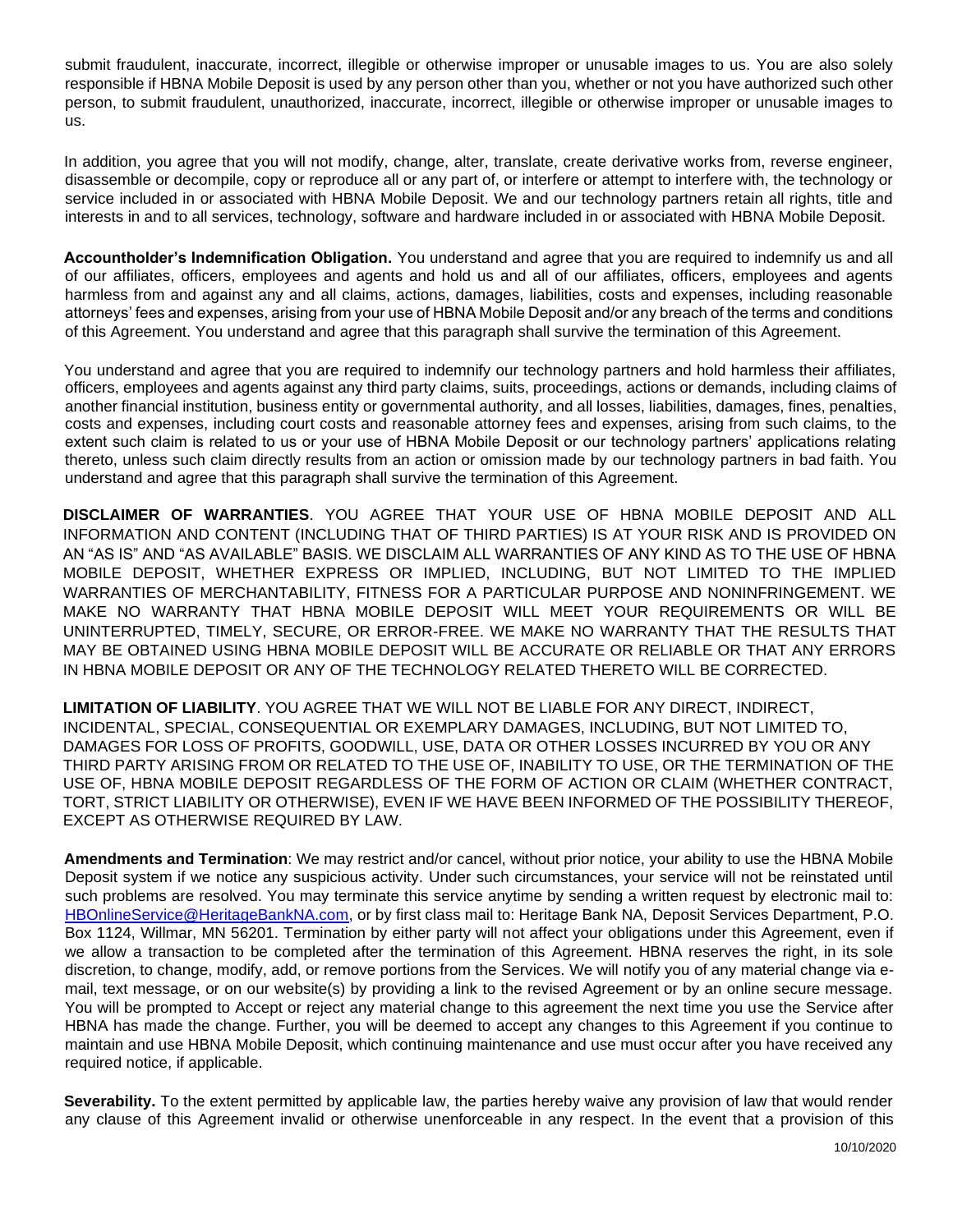submit fraudulent, inaccurate, incorrect, illegible or otherwise improper or unusable images to us. You are also solely responsible if HBNA Mobile Deposit is used by any person other than you, whether or not you have authorized such other person, to submit fraudulent, unauthorized, inaccurate, incorrect, illegible or otherwise improper or unusable images to us.

In addition, you agree that you will not modify, change, alter, translate, create derivative works from, reverse engineer, disassemble or decompile, copy or reproduce all or any part of, or interfere or attempt to interfere with, the technology or service included in or associated with HBNA Mobile Deposit. We and our technology partners retain all rights, title and interests in and to all services, technology, software and hardware included in or associated with HBNA Mobile Deposit.

**Accountholder's Indemnification Obligation.** You understand and agree that you are required to indemnify us and all of our affiliates, officers, employees and agents and hold us and all of our affiliates, officers, employees and agents harmless from and against any and all claims, actions, damages, liabilities, costs and expenses, including reasonable attorneys' fees and expenses, arising from your use of HBNA Mobile Deposit and/or any breach of the terms and conditions of this Agreement. You understand and agree that this paragraph shall survive the termination of this Agreement.

You understand and agree that you are required to indemnify our technology partners and hold harmless their affiliates, officers, employees and agents against any third party claims, suits, proceedings, actions or demands, including claims of another financial institution, business entity or governmental authority, and all losses, liabilities, damages, fines, penalties, costs and expenses, including court costs and reasonable attorney fees and expenses, arising from such claims, to the extent such claim is related to us or your use of HBNA Mobile Deposit or our technology partners' applications relating thereto, unless such claim directly results from an action or omission made by our technology partners in bad faith. You understand and agree that this paragraph shall survive the termination of this Agreement.

**DISCLAIMER OF WARRANTIES**. YOU AGREE THAT YOUR USE OF HBNA MOBILE DEPOSIT AND ALL INFORMATION AND CONTENT (INCLUDING THAT OF THIRD PARTIES) IS AT YOUR RISK AND IS PROVIDED ON AN "AS IS" AND "AS AVAILABLE" BASIS. WE DISCLAIM ALL WARRANTIES OF ANY KIND AS TO THE USE OF HBNA MOBILE DEPOSIT, WHETHER EXPRESS OR IMPLIED, INCLUDING, BUT NOT LIMITED TO THE IMPLIED WARRANTIES OF MERCHANTABILITY, FITNESS FOR A PARTICULAR PURPOSE AND NONINFRINGEMENT. WE MAKE NO WARRANTY THAT HBNA MOBILE DEPOSIT WILL MEET YOUR REQUIREMENTS OR WILL BE UNINTERRUPTED, TIMELY, SECURE, OR ERROR-FREE. WE MAKE NO WARRANTY THAT THE RESULTS THAT MAY BE OBTAINED USING HBNA MOBILE DEPOSIT WILL BE ACCURATE OR RELIABLE OR THAT ANY ERRORS IN HBNA MOBILE DEPOSIT OR ANY OF THE TECHNOLOGY RELATED THERETO WILL BE CORRECTED.

**LIMITATION OF LIABILITY**. YOU AGREE THAT WE WILL NOT BE LIABLE FOR ANY DIRECT, INDIRECT, INCIDENTAL, SPECIAL, CONSEQUENTIAL OR EXEMPLARY DAMAGES, INCLUDING, BUT NOT LIMITED TO, DAMAGES FOR LOSS OF PROFITS, GOODWILL, USE, DATA OR OTHER LOSSES INCURRED BY YOU OR ANY THIRD PARTY ARISING FROM OR RELATED TO THE USE OF, INABILITY TO USE, OR THE TERMINATION OF THE USE OF, HBNA MOBILE DEPOSIT REGARDLESS OF THE FORM OF ACTION OR CLAIM (WHETHER CONTRACT, TORT, STRICT LIABILITY OR OTHERWISE), EVEN IF WE HAVE BEEN INFORMED OF THE POSSIBILITY THEREOF, EXCEPT AS OTHERWISE REQUIRED BY LAW.

**Amendments and Termination**: We may restrict and/or cancel, without prior notice, your ability to use the HBNA Mobile Deposit system if we notice any suspicious activity. Under such circumstances, your service will not be reinstated until such problems are resolved. You may terminate this service anytime by sending a written request by electronic mail to: HBOnlineService@HeritageBankNA.com, or by first class mail to: Heritage Bank NA, Deposit Services Department, P.O. Box 1124, Willmar, MN 56201. Termination by either party will not affect your obligations under this Agreement, even if we allow a transaction to be completed after the termination of this Agreement. HBNA reserves the right, in its sole discretion, to change, modify, add, or remove portions from the Services. We will notify you of any material change via email, text message, or on our website(s) by providing a link to the revised Agreement or by an online secure message. You will be prompted to Accept or reject any material change to this agreement the next time you use the Service after HBNA has made the change. Further, you will be deemed to accept any changes to this Agreement if you continue to maintain and use HBNA Mobile Deposit, which continuing maintenance and use must occur after you have received any required notice, if applicable.

**Severability.** To the extent permitted by applicable law, the parties hereby waive any provision of law that would render any clause of this Agreement invalid or otherwise unenforceable in any respect. In the event that a provision of this